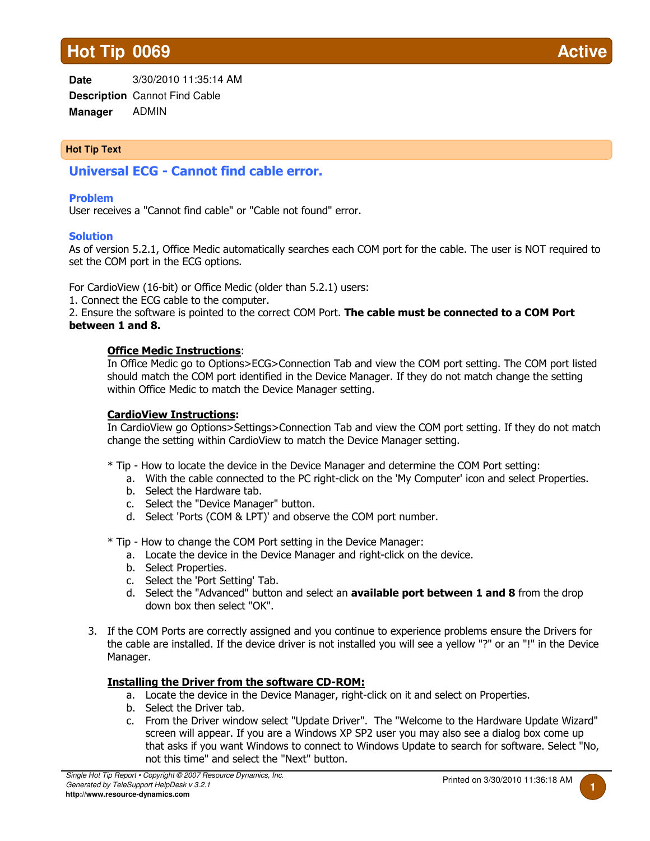# **Hot Tip 0069**

**Date Description** Cannot Find Cable **Manager** 3/30/2010 11:35:14 AM ADMIN

# **Hot Tip Text**

Universal ECG - Cannot find cable error.

#### Problem

User receives a "Cannot find cable" or "Cable not found" error.

#### **Solution**

As of version 5.2.1, Office Medic automatically searches each COM port for the cable. The user is NOT required to set the COM port in the ECG options.

For CardioView (16-bit) or Office Medic (older than 5.2.1) users:

1. Connect the ECG cable to the computer.

2. Ensure the software is pointed to the correct COM Port. The cable must be connected to a COM Port between 1 and 8.

#### Office Medic Instructions:

In Office Medic go to Options>ECG>Connection Tab and view the COM port setting. The COM port listed should match the COM port identified in the Device Manager. If they do not match change the setting within Office Medic to match the Device Manager setting.

## CardioView Instructions:

In CardioView go Options>Settings>Connection Tab and view the COM port setting. If they do not match change the setting within CardioView to match the Device Manager setting.

- \* Tip How to locate the device in the Device Manager and determine the COM Port setting:
	- a. With the cable connected to the PC right-click on the 'My Computer' icon and select Properties.
	- b. Select the Hardware tab.
	- c. Select the "Device Manager" button.
	- d. Select 'Ports (COM & LPT)' and observe the COM port number.

\* Tip - How to change the COM Port setting in the Device Manager:

- a. Locate the device in the Device Manager and right-click on the device.
- b. Select Properties.
- c. Select the 'Port Setting' Tab.
- d. Select the "Advanced" button and select an **available port between 1 and 8** from the drop down box then select "OK".
- 3. If the COM Ports are correctly assigned and you continue to experience problems ensure the Drivers for the cable are installed. If the device driver is not installed you will see a yellow "?" or an "!" in the Device Manager.

## Installing the Driver from the software CD-ROM:

- a. Locate the device in the Device Manager, right-click on it and select on Properties.
- b. Select the Driver tab.
- c. From the Driver window select "Update Driver". The "Welcome to the Hardware Update Wizard" screen will appear. If you are a Windows XP SP2 user you may also see a dialog box come up that asks if you want Windows to connect to Windows Update to search for software. Select "No, not this time" and select the "Next" button.